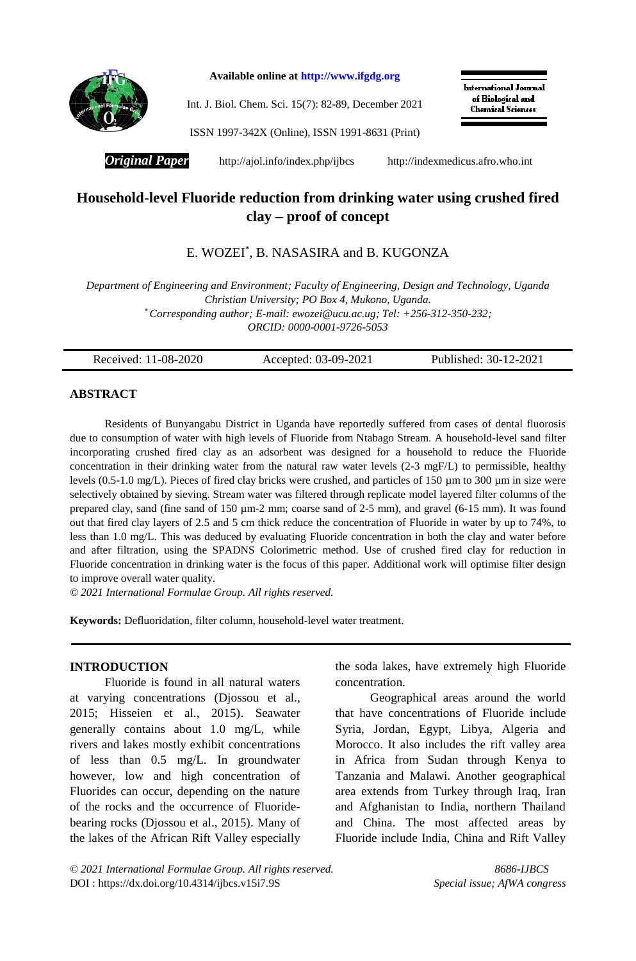

**Available online at [http://www.ifgdg.org](http://www.ifgdg.org/)**

Int. J. Biol. Chem. Sci. 15(7): 82-89, December 2021

International Journal of Biological and **Chemical Sciences** 

ISSN 1997-342X (Online), ISSN 1991-8631 (Print)

**Original Paper** <http://ajol.info/index.php/ijbcs>[http://indexmedicus.afro.who.int](http://indexmedicus.afro.who.int/)

# **Household-level Fluoride reduction from drinking water using crushed fired clay – proof of concept**

# E. WOZEI\* , B. NASASIRA and B. KUGONZA

*Department of Engineering and Environment; Faculty of Engineering, Design and Technology, Uganda Christian University; PO Box 4, Mukono, Uganda. \* Corresponding author; E-mail: ewozei@ucu.ac.ug; Tel: +256-312-350-232; ORCID: 0000-0001-9726-5053*

| Published: 30-12-2021<br>Received: 11-08-2020<br>Accepted: 03-09-2021 |  |
|-----------------------------------------------------------------------|--|
|-----------------------------------------------------------------------|--|

## **ABSTRACT**

Residents of Bunyangabu District in Uganda have reportedly suffered from cases of dental fluorosis due to consumption of water with high levels of Fluoride from Ntabago Stream. A household-level sand filter incorporating crushed fired clay as an adsorbent was designed for a household to reduce the Fluoride concentration in their drinking water from the natural raw water levels (2-3 mgF/L) to permissible, healthy levels (0.5-1.0 mg/L). Pieces of fired clay bricks were crushed, and particles of 150 µm to 300 µm in size were selectively obtained by sieving. Stream water was filtered through replicate model layered filter columns of the prepared clay, sand (fine sand of 150  $\mu$ m-2 mm; coarse sand of 2-5 mm), and gravel (6-15 mm). It was found out that fired clay layers of 2.5 and 5 cm thick reduce the concentration of Fluoride in water by up to 74%, to less than 1.0 mg/L. This was deduced by evaluating Fluoride concentration in both the clay and water before and after filtration, using the SPADNS Colorimetric method. Use of crushed fired clay for reduction in Fluoride concentration in drinking water is the focus of this paper. Additional work will optimise filter design to improve overall water quality.

*© 2021 International Formulae Group. All rights reserved.*

**Keywords:** Defluoridation, filter column, household-level water treatment.

### **INTRODUCTION**

Fluoride is found in all natural waters at varying concentrations (Djossou et al., 2015; Hisseien et al., 2015). Seawater generally contains about 1.0 mg/L, while rivers and lakes mostly exhibit concentrations of less than 0.5 mg/L. In groundwater however, low and high concentration of Fluorides can occur, depending on the nature of the rocks and the occurrence of Fluoridebearing rocks (Djossou et al., 2015). Many of the lakes of the African Rift Valley especially

the soda lakes, have extremely high Fluoride concentration.

Geographical areas around the world that have concentrations of Fluoride include Syria, Jordan, Egypt, Libya, Algeria and Morocco. It also includes the rift valley area in Africa from Sudan through Kenya to Tanzania and Malawi. Another geographical area extends from Turkey through Iraq, Iran and Afghanistan to India, northern Thailand and China. The most affected areas by Fluoride include India, China and Rift Valley

*© 2021 International Formulae Group. All rights reserved. 8686-IJBCS* DOI :<https://dx.doi.org/10.4314/ijbcs.v15i7.9S> *Special issue; AfWA congress*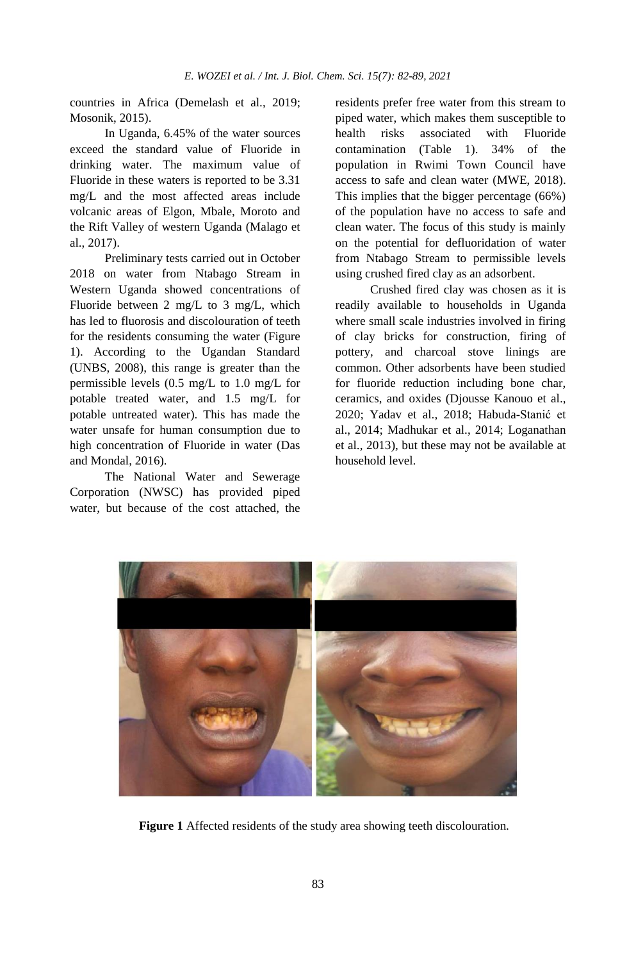countries in Africa (Demelash et al., 2019; Mosonik, 2015).

In Uganda, 6.45% of the water sources exceed the standard value of Fluoride in drinking water. The maximum value of Fluoride in these waters is reported to be 3.31 mg/L and the most affected areas include volcanic areas of Elgon, Mbale, Moroto and the Rift Valley of western Uganda (Malago et al., 2017).

Preliminary tests carried out in October 2018 on water from Ntabago Stream in Western Uganda showed concentrations of Fluoride between 2 mg/L to 3 mg/L, which has led to fluorosis and discolouration of teeth for the residents consuming the water (Figure 1). According to the Ugandan Standard (UNBS, 2008), this range is greater than the permissible levels (0.5 mg/L to 1.0 mg/L for potable treated water, and 1.5 mg/L for potable untreated water). This has made the water unsafe for human consumption due to high concentration of Fluoride in water (Das and Mondal, 2016).

The National Water and Sewerage Corporation (NWSC) has provided piped water, but because of the cost attached, the residents prefer free water from this stream to piped water, which makes them susceptible to health risks associated with Fluoride contamination (Table 1). 34% of the population in Rwimi Town Council have access to safe and clean water (MWE, 2018). This implies that the bigger percentage (66%) of the population have no access to safe and clean water. The focus of this study is mainly on the potential for defluoridation of water from Ntabago Stream to permissible levels using crushed fired clay as an adsorbent.

Crushed fired clay was chosen as it is readily available to households in Uganda where small scale industries involved in firing of clay bricks for construction, firing of pottery, and charcoal stove linings are common. Other adsorbents have been studied for fluoride reduction including bone char, ceramics, and oxides (Djousse Kanouo et al., 2020; Yadav et al., 2018; Habuda-Stanić et al., 2014; Madhukar et al., 2014; Loganathan et al., 2013), but these may not be available at household level.



**Figure 1** Affected residents of the study area showing teeth discolouration.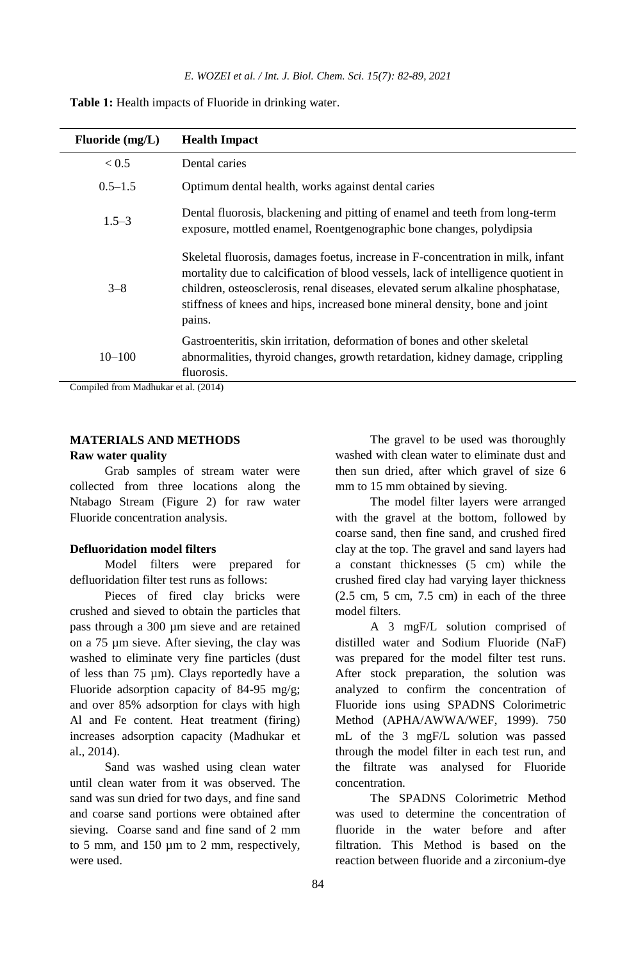| Fluoride $(mg/L)$ | <b>Health Impact</b>                                                                                                                                                                                                                                                                                                                            |
|-------------------|-------------------------------------------------------------------------------------------------------------------------------------------------------------------------------------------------------------------------------------------------------------------------------------------------------------------------------------------------|
| < 0.5             | Dental caries                                                                                                                                                                                                                                                                                                                                   |
| $0.5 - 1.5$       | Optimum dental health, works against dental caries                                                                                                                                                                                                                                                                                              |
| $1.5 - 3$         | Dental fluorosis, blackening and pitting of enamel and teeth from long-term<br>exposure, mottled enamel, Roentgenographic bone changes, polydipsia                                                                                                                                                                                              |
| $3 - 8$           | Skeletal fluorosis, damages foetus, increase in F-concentration in milk, infant<br>mortality due to calcification of blood vessels, lack of intelligence quotient in<br>children, osteosclerosis, renal diseases, elevated serum alkaline phosphatase,<br>stiffness of knees and hips, increased bone mineral density, bone and joint<br>pains. |
| $10 - 100$        | Gastroenteritis, skin irritation, deformation of bones and other skeletal<br>abnormalities, thyroid changes, growth retardation, kidney damage, crippling<br>fluorosis.                                                                                                                                                                         |

**Table 1:** Health impacts of Fluoride in drinking water.

Compiled from Madhukar et al. (2014)

# **MATERIALS AND METHODS**

## **Raw water quality**

Grab samples of stream water were collected from three locations along the Ntabago Stream (Figure 2) for raw water Fluoride concentration analysis.

### **Defluoridation model filters**

Model filters were prepared for defluoridation filter test runs as follows:

Pieces of fired clay bricks were crushed and sieved to obtain the particles that pass through a 300 µm sieve and are retained on a 75 µm sieve. After sieving, the clay was washed to eliminate very fine particles (dust of less than 75 µm). Clays reportedly have a Fluoride adsorption capacity of 84-95 mg/g; and over 85% adsorption for clays with high Al and Fe content. Heat treatment (firing) increases adsorption capacity (Madhukar et al., 2014).

Sand was washed using clean water until clean water from it was observed. The sand was sun dried for two days, and fine sand and coarse sand portions were obtained after sieving. Coarse sand and fine sand of 2 mm to 5 mm, and 150 µm to 2 mm, respectively, were used.

The gravel to be used was thoroughly washed with clean water to eliminate dust and then sun dried, after which gravel of size 6 mm to 15 mm obtained by sieving.

The model filter layers were arranged with the gravel at the bottom, followed by coarse sand, then fine sand, and crushed fired clay at the top. The gravel and sand layers had a constant thicknesses (5 cm) while the crushed fired clay had varying layer thickness  $(2.5 \text{ cm}, 5 \text{ cm}, 7.5 \text{ cm})$  in each of the three model filters.

A 3 mgF/L solution comprised of distilled water and Sodium Fluoride (NaF) was prepared for the model filter test runs. After stock preparation, the solution was analyzed to confirm the concentration of Fluoride ions using SPADNS Colorimetric Method (APHA/AWWA/WEF, 1999). 750 mL of the 3 mgF/L solution was passed through the model filter in each test run, and the filtrate was analysed for Fluoride concentration.

The SPADNS Colorimetric Method was used to determine the concentration of fluoride in the water before and after filtration. This Method is based on the reaction between fluoride and a zirconium-dye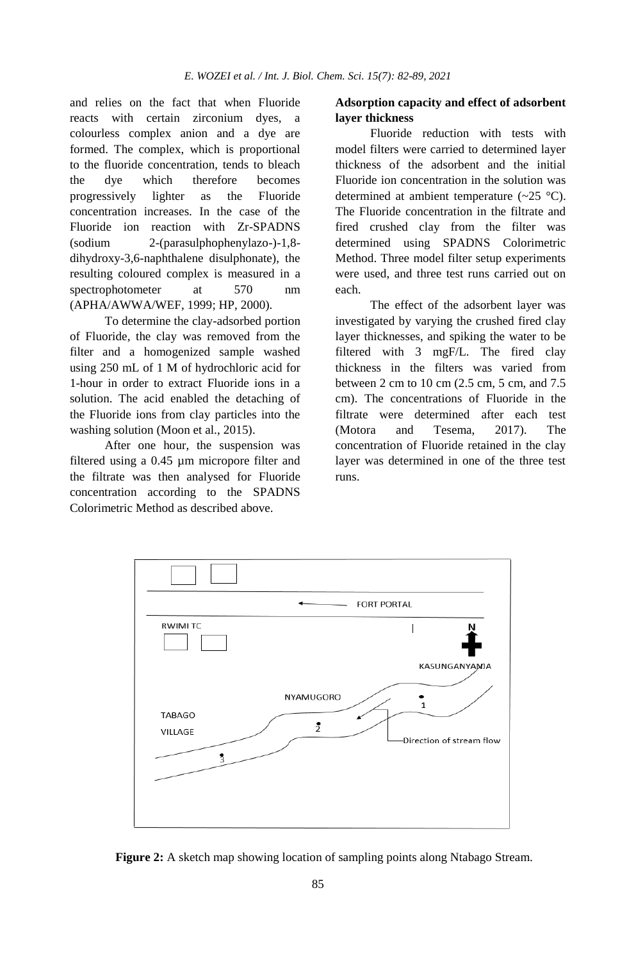and relies on the fact that when Fluoride reacts with certain zirconium dyes, a colourless complex anion and a dye are formed. The complex, which is proportional to the fluoride concentration, tends to bleach the dye which therefore becomes progressively lighter as the Fluoride concentration increases. In the case of the Fluoride ion reaction with Zr-SPADNS (sodium 2-(parasulphophenylazo-)-1,8 dihydroxy-3,6-naphthalene disulphonate), the resulting coloured complex is measured in a spectrophotometer at 570 nm (APHA/AWWA/WEF, 1999; HP, 2000).

To determine the clay-adsorbed portion of Fluoride, the clay was removed from the filter and a homogenized sample washed using 250 mL of 1 M of hydrochloric acid for 1-hour in order to extract Fluoride ions in a solution. The acid enabled the detaching of the Fluoride ions from clay particles into the washing solution (Moon et al., 2015).

After one hour, the suspension was filtered using a 0.45 µm micropore filter and the filtrate was then analysed for Fluoride concentration according to the SPADNS Colorimetric Method as described above.

## **Adsorption capacity and effect of adsorbent layer thickness**

Fluoride reduction with tests with model filters were carried to determined layer thickness of the adsorbent and the initial Fluoride ion concentration in the solution was determined at ambient temperature  $(\sim 25 \text{ °C})$ . The Fluoride concentration in the filtrate and fired crushed clay from the filter was determined using SPADNS Colorimetric Method. Three model filter setup experiments were used, and three test runs carried out on each.

The effect of the adsorbent layer was investigated by varying the crushed fired clay layer thicknesses, and spiking the water to be filtered with 3 mgF/L. The fired clay thickness in the filters was varied from between 2 cm to 10 cm (2.5 cm, 5 cm, and 7.5 cm). The concentrations of Fluoride in the filtrate were determined after each test (Motora and Tesema, 2017). The concentration of Fluoride retained in the clay layer was determined in one of the three test runs.



**Figure 2:** A sketch map showing location of sampling points along Ntabago Stream.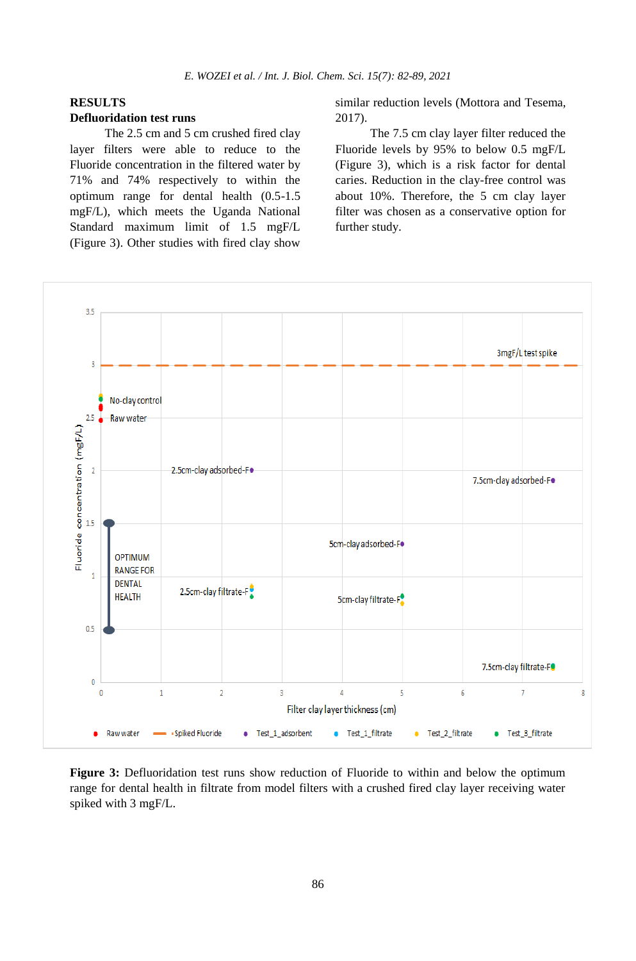# **RESULTS**

### **Defluoridation test runs**

The 2.5 cm and 5 cm crushed fired clay layer filters were able to reduce to the Fluoride concentration in the filtered water by 71% and 74% respectively to within the optimum range for dental health (0.5-1.5 mgF/L), which meets the Uganda National Standard maximum limit of 1.5 mgF/L (Figure 3). Other studies with fired clay show

similar reduction levels (Mottora and Tesema, 2017).

The 7.5 cm clay layer filter reduced the Fluoride levels by 95% to below 0.5 mgF/L (Figure 3), which is a risk factor for dental caries. Reduction in the clay-free control was about 10%. Therefore, the 5 cm clay layer filter was chosen as a conservative option for further study.



**Figure 3:** Defluoridation test runs show reduction of Fluoride to within and below the optimum range for dental health in filtrate from model filters with a crushed fired clay layer receiving water spiked with 3 mgF/L.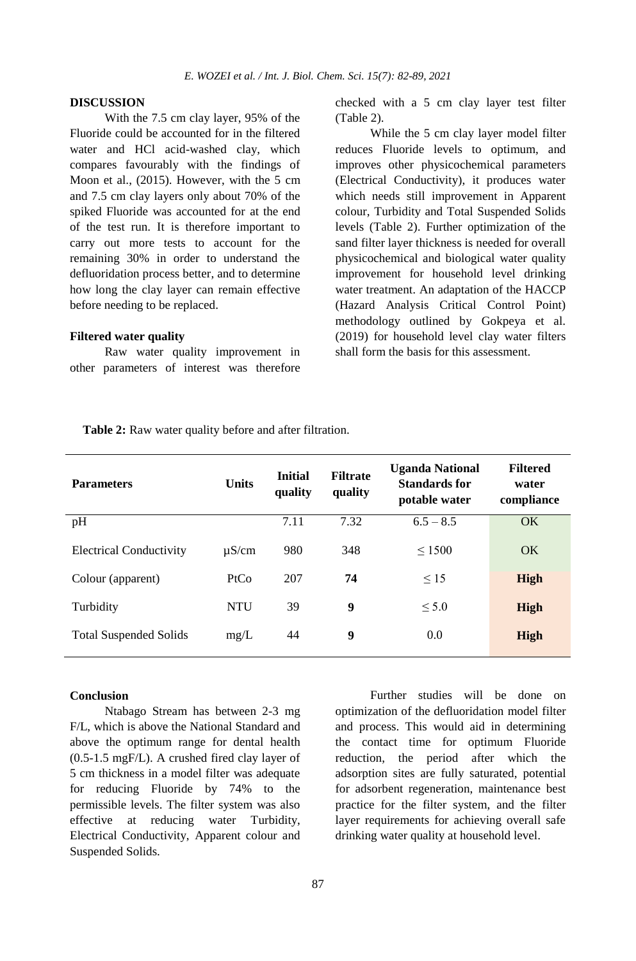#### **DISCUSSION**

With the 7.5 cm clay layer, 95% of the Fluoride could be accounted for in the filtered water and HCl acid-washed clay, which compares favourably with the findings of Moon et al., (2015). However, with the 5 cm and 7.5 cm clay layers only about 70% of the spiked Fluoride was accounted for at the end of the test run. It is therefore important to carry out more tests to account for the remaining 30% in order to understand the defluoridation process better, and to determine how long the clay layer can remain effective before needing to be replaced.

#### **Filtered water quality**

Raw water quality improvement in other parameters of interest was therefore checked with a 5 cm clay layer test filter (Table 2).

While the 5 cm clay layer model filter reduces Fluoride levels to optimum, and improves other physicochemical parameters (Electrical Conductivity), it produces water which needs still improvement in Apparent colour, Turbidity and Total Suspended Solids levels (Table 2). Further optimization of the sand filter layer thickness is needed for overall physicochemical and biological water quality improvement for household level drinking water treatment. An adaptation of the HACCP (Hazard Analysis Critical Control Point) methodology outlined by Gokpeya et al. (2019) for household level clay water filters shall form the basis for this assessment.

**Table 2:** Raw water quality before and after filtration.

| <b>Parameters</b>              | <b>Units</b> | <b>Initial</b><br>quality | <b>Filtrate</b><br>quality | <b>Uganda National</b><br><b>Standards for</b><br>potable water | <b>Filtered</b><br>water<br>compliance |
|--------------------------------|--------------|---------------------------|----------------------------|-----------------------------------------------------------------|----------------------------------------|
| pH                             |              | 7.11                      | 7.32                       | $6.5 - 8.5$                                                     | <b>OK</b>                              |
| <b>Electrical Conductivity</b> | $\mu$ S/cm   | 980                       | 348                        | $\leq 1500$                                                     | OK                                     |
| Colour (apparent)              | PtCo         | 207                       | 74                         | $\leq 15$                                                       | <b>High</b>                            |
| Turbidity                      | <b>NTU</b>   | 39                        | 9                          | < 5.0                                                           | High                                   |
| <b>Total Suspended Solids</b>  | mg/L         | 44                        | 9                          | 0.0                                                             | High                                   |

#### **Conclusion**

Ntabago Stream has between 2-3 mg F/L, which is above the National Standard and above the optimum range for dental health (0.5-1.5 mgF/L). A crushed fired clay layer of 5 cm thickness in a model filter was adequate for reducing Fluoride by 74% to the permissible levels. The filter system was also effective at reducing water Turbidity, Electrical Conductivity, Apparent colour and Suspended Solids.

Further studies will be done on optimization of the defluoridation model filter and process. This would aid in determining the contact time for optimum Fluoride reduction, the period after which the adsorption sites are fully saturated, potential for adsorbent regeneration, maintenance best practice for the filter system, and the filter layer requirements for achieving overall safe drinking water quality at household level.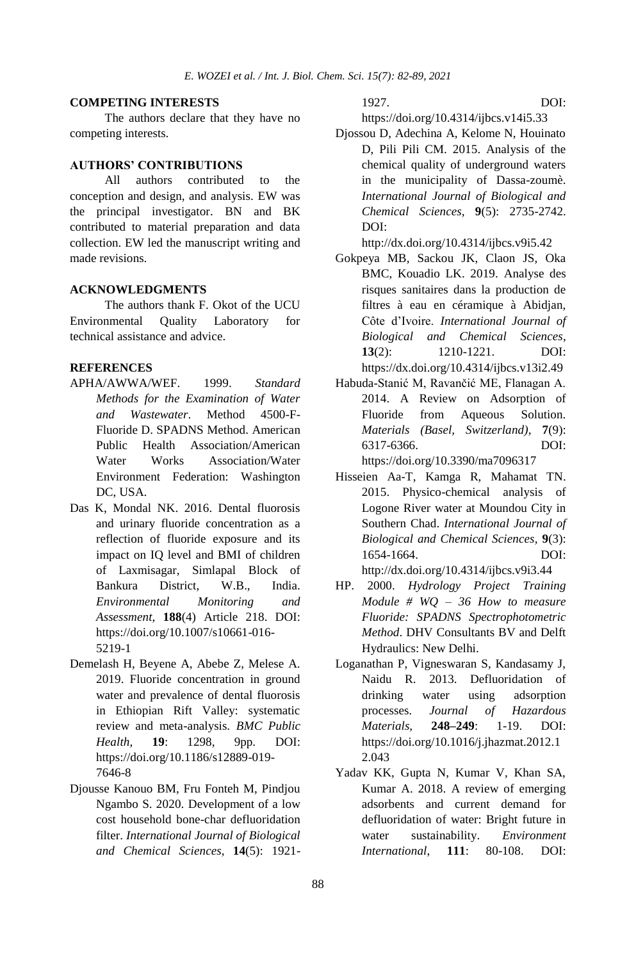## **COMPETING INTERESTS**

The authors declare that they have no competing interests.

## **AUTHORS' CONTRIBUTIONS**

All authors contributed to the conception and design, and analysis. EW was the principal investigator. BN and BK contributed to material preparation and data collection. EW led the manuscript writing and made revisions.

#### **ACKNOWLEDGMENTS**

The authors thank F. Okot of the UCU Environmental Quality Laboratory for technical assistance and advice.

#### **REFERENCES**

- APHA/AWWA/WEF. 1999. *Standard Methods for the Examination of Water and Wastewater*. Method 4500-F-Fluoride D. SPADNS Method. American Public Health Association/American Water Works Association/Water Environment Federation: Washington DC, USA.
- Das K, Mondal NK. 2016. Dental fluorosis and urinary fluoride concentration as a reflection of fluoride exposure and its impact on IQ level and BMI of children of Laxmisagar, Simlapal Block of Bankura District, W.B., India. *Environmental Monitoring and Assessment*, **188**(4) Article 218. DOI: https://doi.org/10.1007/s10661-016- 5219-1
- Demelash H, Beyene A, Abebe Z, Melese A. 2019. Fluoride concentration in ground water and prevalence of dental fluorosis in Ethiopian Rift Valley: systematic review and meta-analysis. *BMC Public Health*, **19**: 1298, 9pp. DOI: https://doi.org/10.1186/s12889-019- 7646-8
- Djousse Kanouo BM, Fru Fonteh M, Pindjou Ngambo S. 2020. Development of a low cost household bone-char defluoridation filter. *International Journal of Biological and Chemical Sciences*, **14**(5): 1921-

1927. DOI:

https://doi.org/10.4314/ijbcs.v14i5.33

Djossou D, Adechina A, Kelome N, Houinato D, Pili Pili CM. 2015. Analysis of the chemical quality of underground waters in the municipality of Dassa-zoumè. *International Journal of Biological and Chemical Sciences*, **9**(5): 2735-2742. DOI:

http://dx.doi.org/10.4314/ijbcs.v9i5.42

- Gokpeya MB, Sackou JK, Claon JS, Oka BMC, Kouadio LK. 2019. Analyse des risques sanitaires dans la production de filtres à eau en céramique à Abidjan, Côte d'Ivoire. *International Journal of Biological and Chemical Sciences*, **13**(2): 1210-1221. DOI: https://dx.doi.org/10.4314/ijbcs.v13i2.49
- Habuda-Stanić M, Ravančić ME, Flanagan A. 2014. A Review on Adsorption of Fluoride from Aqueous Solution. *Materials (Basel, Switzerland)*, **7**(9): 6317-6366. DOI: https://doi.org/10.3390/ma7096317
- Hisseien Aa-T, Kamga R, Mahamat TN. 2015. Physico-chemical analysis of Logone River water at Moundou City in Southern Chad. *International Journal of Biological and Chemical Sciences*, **9**(3): 1654-1664. DOI: http://dx.doi.org/10.4314/ijbcs.v9i3.44
- HP. 2000. *Hydrology Project Training Module # WQ – 36 How to measure Fluoride: SPADNS Spectrophotometric Method*. DHV Consultants BV and Delft Hydraulics: New Delhi.
- Loganathan P, Vigneswaran S, Kandasamy J, Naidu R. 2013. Defluoridation of drinking water using adsorption processes. *Journal of Hazardous Materials,* **248–249**: 1-19. DOI: https://doi.org/10.1016/j.jhazmat.2012.1 2.043
- Yadav KK, Gupta N, Kumar V, Khan SA, Kumar A. 2018. A review of emerging adsorbents and current demand for defluoridation of water: Bright future in water sustainability. *Environment International*, **111**: 80-108. DOI: